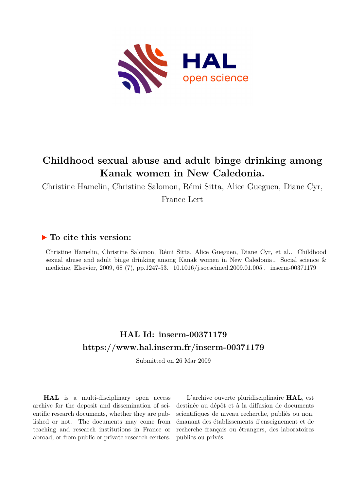

# **Childhood sexual abuse and adult binge drinking among Kanak women in New Caledonia.**

Christine Hamelin, Christine Salomon, Rémi Sitta, Alice Gueguen, Diane Cyr,

France Lert

# **To cite this version:**

Christine Hamelin, Christine Salomon, Rémi Sitta, Alice Gueguen, Diane Cyr, et al.. Childhood sexual abuse and adult binge drinking among Kanak women in New Caledonia.. Social science & medicine, Elsevier, 2009, 68 (7), pp.1247-53. 10.1016/j.socscimed.2009.01.005. inserm-00371179

# **HAL Id: inserm-00371179 <https://www.hal.inserm.fr/inserm-00371179>**

Submitted on 26 Mar 2009

**HAL** is a multi-disciplinary open access archive for the deposit and dissemination of scientific research documents, whether they are published or not. The documents may come from teaching and research institutions in France or abroad, or from public or private research centers.

L'archive ouverte pluridisciplinaire **HAL**, est destinée au dépôt et à la diffusion de documents scientifiques de niveau recherche, publiés ou non, émanant des établissements d'enseignement et de recherche français ou étrangers, des laboratoires publics ou privés.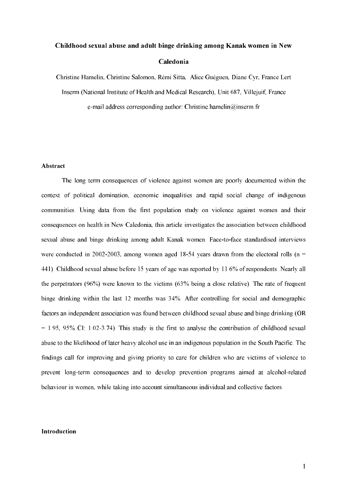# Childhood sexual abuse and adult binge drinking among Kanak women in New **Caledonia**

Christine Hamelin, Christine Salomon, Rémi Sitta. Alice Guéguen, Diane Cyr, France Lert Inserm (National Institute of Health and Medical Research), Unit 687, Villejuif, France e-mail address corresponding author: Christine.hamelin@inserm.fr

## Abstract

The long term consequences of violence against women are poorly documented within the context of political domination, economic inequalities and rapid social change of indigenous communities. Using data from the first population study on violence against women and their consequences on health in New Caledonia, this article investigates the association between childhood sexual abuse and binge drinking among adult Kanak women. Face-to-face standardised interviews were conducted in 2002-2003, among women aged 18-54 years drawn from the electoral rolls ( $n =$ 441). Childhood sexual abuse before 15 years of age was reported by 11.6% of respondents. Nearly all the perpetrators  $(96%)$  were known to the victims  $(63%$  being a close relative). The rate of frequent binge drinking within the last 12 months was 34%. After controlling for social and demographic factors an independent association was found between childhood sexual abuse and binge drinking (OR  $= 1.95, 95\%$  CI: 1.02-3.74). This study is the first to analyse the contribution of childhood sexual abuse to the likelihood of later heavy alcohol use in an indigenous population in the South Pacific. The findings call for improving and giving priority to care for children who are victims of violence to prevent long-term consequences and to develop prevention programs aimed at alcohol-related behaviour in women, while taking into account simultaneous individual and collective factors.

### **Introduction**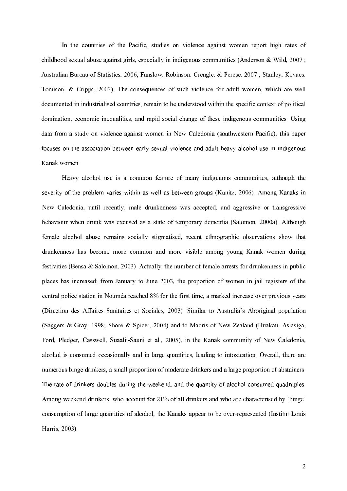In the countries of the Pacific, studies on violence against women report high rates of childhood sexual abuse against girls, especially in indigenous communities (Anderson & Wild, 2007; Australian Bureau of Statistics, 2006; Fanslow, Robinson, Crengle, & Perese, 2007; Stanley, Kovacs, Tomison, & Cripps, 2002). The consequences of such violence for adult women, which are well documented in industrialised countries, remain to be understood within the specific context of political domination, economic inequalities, and rapid social change of these indigenous communities. Using data from a study on violence against women in New Caledonia (southwestern Pacific), this paper focuses on the association between early sexual violence and adult heavy alcohol use in indigenous Kanak women.

Heavy alcohol use is a common feature of many indigenous communities, although the severity of the problem varies within as well as between groups (Kunitz, 2006). Among Kanaks in New Caledonia, until recently, male drunkenness was accepted, and aggressive or transgressive behaviour when drunk was excused as a state of temporary dementia (Salomon, 2000a). Although female alcohol abuse remains socially stigmatised, recent ethnographic observations show that drunkenness has become more common and more visible among young Kanak women during festivities (Bensa & Salomon, 2003). Actually, the number of female arrests for drunkenness in public places has increased: from January to June 2003, the proportion of women in jail registers of the central police station in Nouméa reached 8% for the first time, a marked increase over previous years (Direction des Affaires Sanitaires et Sociales, 2003). Similar to Australia's Aboriginal population (Saggers & Gray, 1998; Shore & Spicer, 2004) and to Maoris of New Zealand (Huakau, Asiasiga, Ford, Pledger, Casswell, Suaalii-Sauni et al., 2005), in the Kanak community of New Caledonia, alcohol is consumed occasionally and in large quantities, leading to intoxication. Overall, there are numerous binge drinkers, a small proportion of moderate drinkers and a large proportion of abstainers. The rate of drinkers doubles during the weekend, and the quantity of alcohol consumed quadruples. Among weekend drinkers, who account for 21% of all drinkers and who are characterised by 'binge' consumption of large quantities of alcohol, the Kanaks appear to be over-represented (Institut Louis Harris, 2003).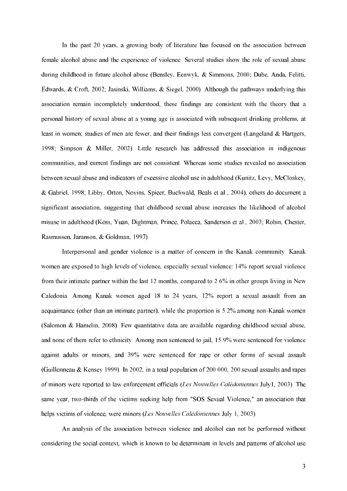In the past 20 years, a growing body of literature has focused on the association between female alcohol abuse and the experience of violence. Several studies show the role of sexual abuse during childhood in future alcohol abuse (Bensley, Eenwyk, & Simmons, 2000; Dube, Anda, Felitti, Edwards, & Croft, 2002; Jasinski, Williams, & Siegel, 2000). Although the pathways underlying this association remain incompletely understood, these findings are consistent with the theory that a personal history of sexual abuse at a young age is associated with subsequent drinking problems, at least in women; studies of men are fewer, and their findings less convergent (Langeland & Hartgers, 1998; Simpson & Miller, 2002). Little research has addressed this association in indigenous communities, and current findings are not consistent. Whereas some studies revealed no association between sexual abuse and indicators of excessive alcohol use in adulthood (Kunitz, Levy, McCloskey, & Gabriel, 1998; Libby, Orton, Novins, Spicer, Buchwald, Beals et al., 2004), others do document a significant association, suggesting that childhood sexual abuse increases the likelihood of alcohol misuse in adulthood (Koss, Yuan, Dightman, Prince, Polacca, Sanderson et al., 2003; Robin, Chester, Rasmussen, Jaranson, & Goldman, 1997).

Interpersonal and gender violence is a matter of concern in the Kanak community. Kanak women are exposed to high levels of violence, especially sexual violence: 14% report sexual violence from their intimate partner within the last 12 months, compared to 2.6% in other groups living in New Caledonia. Among Kanak women aged 18 to 24 years, 12% report a sexual assault from an acquaintance (other than an intimate partner), while the proportion is 5.2% among non-Kanak women (Salomon & Hamelin, 2008). Few quantitative data are available regarding childhood sexual abuse, and none of them refer to ethnicity. Among men sentenced to jail, 15.9% were sentenced for violence against adults or minors, and 39% were sentenced for rape or other forms of sexual assault (Guillonneau & Kensey 1999). In 2002, in a total population of 200 000, 200 sexual assaults and rapes of minors were reported to law enforcement officials (Les Nouvelles Calédoniennes July1, 2003). The same year, two-thirds of the victims seeking help from "SOS Sexual Violence," an association that helps victims of violence, were minors (Les Nouvelles Calédoniennes July 1, 2003).

An analysis of the association between violence and alcohol can not be performed without considering the social context, which is known to be determinant in levels and patterns of alcohol use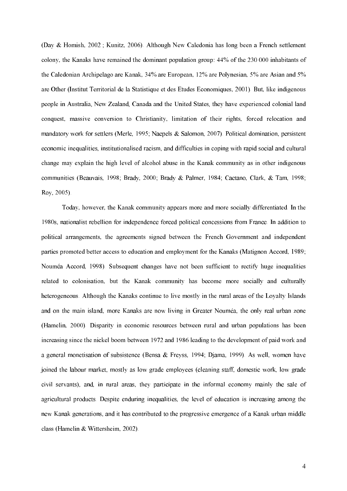(Day & Homish, 2002; Kunitz, 2006). Although New Caledonia has long been a French settlement colony, the Kanaks have remained the dominant population group: 44% of the 230 000 inhabitants of the Caledonian Archipelago are Kanak, 34% are European, 12% are Polynesian, 5% are Asian and 5% are Other (Institut Territorial de la Statistique et des Etudes Economiques, 2001). But, like indigenous people in Australia, New Zealand, Canada and the United States, they have experienced colonial land conquest, massive conversion to Christianity, limitation of their rights, forced relocation and mandatory work for settlers (Merle, 1995; Naepels & Salomon, 2007). Political domination, persistent economic inequalities, institutionalised racism, and difficulties in coping with rapid social and cultural change may explain the high level of alcohol abuse in the Kanak community as in other indigenous communities (Beauvais, 1998; Brady, 2000; Brady & Palmer, 1984; Caetano, Clark, & Tam, 1998; Roy, 2005).

Today, however, the Kanak community appears more and more socially differentiated. In the 1980s, nationalist rebellion for independence forced political concessions from France. In addition to political arrangements, the agreements signed between the French Government and independent parties promoted better access to education and employment for the Kanaks (Matignon Accord, 1989; Nouméa Accord, 1998). Subsequent changes have not been sufficient to rectify huge inequalities related to colonisation, but the Kanak community has become more socially and culturally heterogeneous. Although the Kanaks continue to live mostly in the rural areas of the Loyalty Islands and on the main island, more Kanaks are now living in Greater Nouméa, the only real urban zone (Hamelin, 2000). Disparity in economic resources between rural and urban populations has been increasing since the nickel boom between 1972 and 1986 leading to the development of paid work and a general monetisation of subsistence (Bensa & Freyss, 1994; Diama, 1999). As well, women have joined the labour market, mostly as low grade employees (cleaning staff, domestic work, low grade civil servants), and, in rural areas, they participate in the informal economy mainly the sale of agricultural products. Despite enduring inequalities, the level of education is increasing among the new Kanak generations, and it has contributed to the progressive emergence of a Kanak urban middle class (Hamelin & Wittersheim, 2002).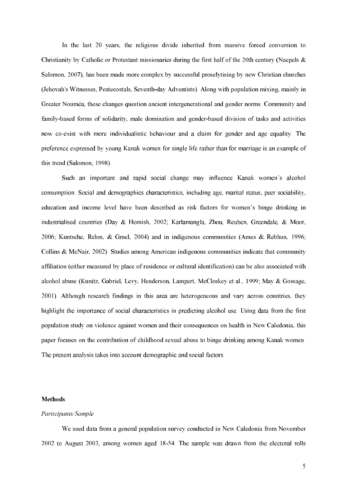In the last 20 years, the religious divide inherited from massive forced conversion to Christianity by Catholic or Protestant missionaries during the first half of the 20th century (Naepels  $\&$ Salomon, 2007), has been made more complex by successful proselytising by new Christian churches (Jehovah's Witnesses, Pentecostals, Seventh-day Adventists). Along with population mixing, mainly in Greater Nouméa, these changes question ancient intergenerational and gender norms. Community and family-based forms of solidarity, male domination and gender-based division of tasks and activities now co-exist with more individualistic behaviour and a claim for gender and age equality. The preference expressed by young Kanak women for single life rather than for marriage is an example of this trend (Salomon, 1998).

Such an important and rapid social change may influence Kanak women's alcohol consumption. Social and demographics characteristics, including age, marital status, peer sociability, education and income level have been described as risk factors for women's binge drinking in industrialised countries (Day & Homish, 2002; Karlamangla, Zhou, Reuben, Greendale, & Moor, 2006; Kuntsche, Rehm, & Gmel, 2004) and in indigenous communities (Ames & Rebhun, 1996; Collins & McNair, 2002). Studies among American indigenous communities indicate that community affiliation (either measured by place of residence or cultural identification) can be also associated with alcohol abuse (Kunitz, Gabriel, Levy, Henderson, Lampert, McCloskey et al., 1999; May & Gossage, 2001). Although research findings in this area are heterogeneous and vary across countries, they highlight the importance of social characteristics in predicting alcohol use. Using data from the first population study on violence against women and their consequences on health in New Caledonia, this paper focuses on the contribution of childhood sexual abuse to binge drinking among Kanak women. The present analysis takes into account demographic and social factors.

### **Methods**

#### Participants/Sample

We used data from a general population survey conducted in New Caledonia from November 2002 to August 2003, among women aged 18-54. The sample was drawn from the electoral rolls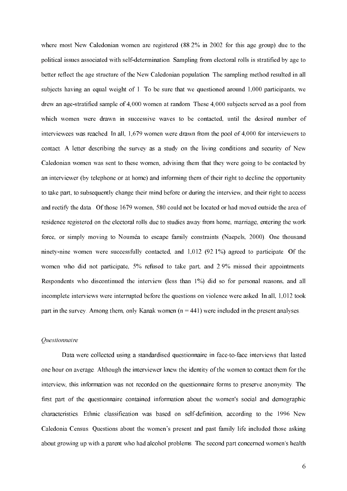where most New Caledonian women are registered (88.2% in 2002 for this age group) due to the political issues associated with self-determination. Sampling from electoral rolls is stratified by age to better reflect the age structure of the New Caledonian population. The sampling method resulted in all subjects having an equal weight of 1. To be sure that we questioned around 1,000 participants, we drew an age-stratified sample of 4,000 women at random. These 4,000 subjects served as a pool from which women were drawn in successive waves to be contacted, until the desired number of interviewees was reached. In all, 1,679 women were drawn from the pool of 4,000 for interviewers to contact. A letter describing the survey as a study on the living conditions and security of New Caledonian women was sent to these women, advising them that they were going to be contacted by an interviewer (by telephone or at home) and informing them of their right to decline the opportunity to take part, to subsequently change their mind before or during the interview, and their right to access and rectify the data. Of those 1679 women, 580 could not be located or had moved outside the area of residence registered on the electoral rolls due to studies away from home, marriage, entering the work force, or simply moving to Nouméa to escape family constraints (Naepels, 2000). One thousand ninety-nine women were successfully contacted, and 1,012 (92.1%) agreed to participate. Of the women who did not participate, 5% refused to take part, and 2.9% missed their appointments. Respondents who discontinued the interview (less than 1%) did so for personal reasons, and all incomplete interviews were interrupted before the questions on violence were asked. In all, 1,012 took part in the survey. Among them, only Kanak women  $(n = 441)$  were included in the present analyses.

#### Questionnaire

Data were collected using a standardised questionnaire in face-to-face interviews that lasted one hour on average. Although the interviewer knew the identity of the women to contact them for the interview, this information was not recorded on the questionnaire forms to preserve anonymity. The first part of the questionnaire contained information about the women's social and demographic characteristics. Ethnic classification was based on self-definition, according to the 1996 New Caledonia Census. Ouestions about the women's present and past family life included those asking about growing up with a parent who had alcohol problems. The second part concerned women's health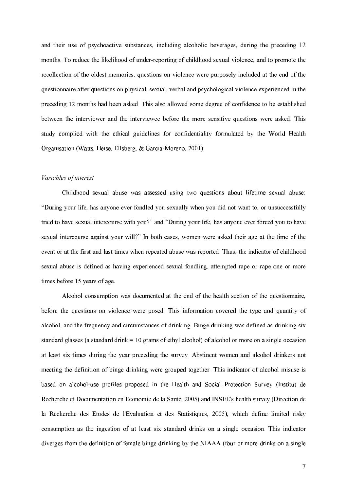and their use of psychoactive substances, including alcoholic beverages, during the preceding 12 months. To reduce the likelihood of under-reporting of childhood sexual violence, and to promote the recollection of the oldest memories, questions on violence were purposely included at the end of the questionnaire after questions on physical, sexual, verbal and psychological violence experienced in the preceding 12 months had been asked. This also allowed some degree of confidence to be established between the interviewer and the interviewee before the more sensitive questions were asked. This study complied with the ethical guidelines for confidentiality formulated by the World Health Organisation (Watts, Heise, Ellsberg, & Garcia-Moreno, 2001).

#### Variables of interest

Childhood sexual abuse was assessed using two questions about lifetime sexual abuse: "During your life, has anyone ever fondled you sexually when you did not want to, or unsuccessfully tried to have sexual intercourse with you?" and "During your life, has anyone ever forced you to have sexual intercourse against your will?" In both cases, women were asked their age at the time of the event or at the first and last times when repeated abuse was reported. Thus, the indicator of childhood sexual abuse is defined as having experienced sexual fondling, attempted rape or rape one or more times before 15 years of age.

Alcohol consumption was documented at the end of the health section of the questionnaire, before the questions on violence were posed. This information covered the type and quantity of alcohol, and the frequency and circumstances of drinking. Binge drinking was defined as drinking six standard glasses (a standard drink  $= 10$  grams of ethyl alcohol) of alcohol or more on a single occasion at least six times during the year preceding the survey. Abstinent women and alcohol drinkers not meeting the definition of binge drinking were grouped together. This indicator of alcohol misuse is based on alcohol-use profiles proposed in the Health and Social Protection Survey (Institut de Recherche et Documentation en Economie de la Santé. 2005) and INSEE's health survey (Direction de la Recherche des Etudes de l'Evaluation et des Statistiques, 2005), which define limited risky consumption as the ingestion of at least six standard drinks on a single occasion. This indicator diverges from the definition of female binge drinking by the NIAAA (four or more drinks on a single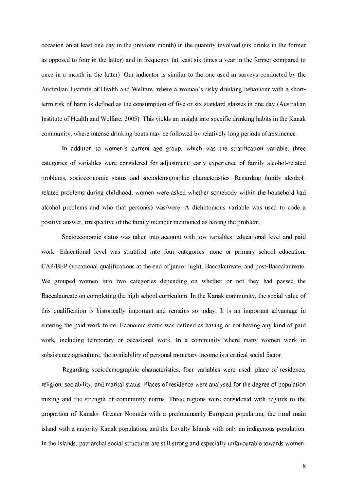occasion on at least one day in the previous month) in the quantity involved (six drinks in the former as opposed to four in the latter) and in frequency (at least six times a year in the former compared to once in a month in the latter). Our indicator is similar to the one used in surveys conducted by the Australian Institute of Health and Welfare, where a woman's risky drinking behaviour with a shortterm risk of harm is defined as the consumption of five or six standard glasses in one day (Australian Institute of Health and Welfare, 2005). This vields an insight into specific drinking habits in the Kanak community, where intense drinking bouts may be followed by relatively long periods of abstinence.

In addition to women's current age group, which was the stratification variable, three categories of variables were considered for adjustment: early experience of family alcohol-related problems, socioeconomic status and sociodemographic characteristics. Regarding family alcoholrelated problems during childhood, women were asked whether somebody within the household had alcohol problems and who that person(s) was/were. A dichotomous variable was used to code a positive answer, irrespective of the family member mentioned as having the problem.

Socioeconomic status was taken into account with tow variables: educational level and paid work. Educational level was stratified into four categories: none or primary school education, CAP/BEP (vocational qualifications at the end of junior high), Baccalaureate, and post-Baccalaureate. We grouped women into two categories depending on whether or not they had passed the Baccalaureate on completing the high school curriculum. In the Kanak community, the social value of this qualification is historically important and remains so today. It is an important advantage in entering the paid work force. Economic status was defined as having or not having any kind of paid work, including temporary or occasional work. In a community where many women work in subsistence agriculture, the availability of personal monetary income is a critical social factor.

Regarding sociodemographic characteristics, four variables were used: place of residence, religion, sociability, and marital status. Places of residence were analysed for the degree of population mixing and the strength of community norms. Three regions were considered with regards to the proportion of Kanaks: Greater Nouméa with a predominantly European population, the rural main island with a majority Kanak population, and the Lovalty Islands with only an indigenous population. In the Islands, patriarchal social structures are still strong and especially unfavourable towards women.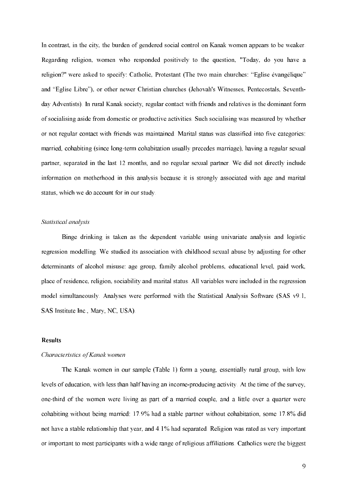In contrast, in the city, the burden of gendered social control on Kanak women appears to be weaker. Regarding religion, women who responded positively to the question, "Today, do you have a religion?" were asked to specify: Catholic, Protestant (The two main churches: "Eglise évangélique" and "Eglise Libre"), or other newer Christian churches (Jehovah's Witnesses, Pentecostals, Seventhday Adventists). In rural Kanak society, regular contact with friends and relatives is the dominant form of socialising aside from domestic or productive activities. Such socialising was measured by whether or not regular contact with friends was maintained. Marital status was classified into five categories: married, cohabiting (since long-term cohabitation usually precedes marriage), having a regular sexual partner, separated in the last 12 months, and no regular sexual partner. We did not directly include information on motherhood in this analysis because it is strongly associated with age and marital status, which we do account for in our study.

#### Statistical analysis

Binge drinking is taken as the dependent variable using univariate analysis and logistic regression modelling. We studied its association with childhood sexual abuse by adjusting for other determinants of alcohol misuse: age group, family alcohol problems, educational level, paid work, place of residence, religion, sociability and marital status. All variables were included in the regression model simultaneously. Analyses were performed with the Statistical Analysis Software (SAS v9.1, SAS Institute Inc., Mary, NC, USA).

#### **Results**

#### Characteristics of Kanak women

The Kanak women in our sample (Table 1) form a young, essentially rural group, with low levels of education, with less than half having an income-producing activity. At the time of the survey, one-third of the women were living as part of a married couple, and a little over a quarter were cohabiting without being married: 17.9% had a stable partner without cohabitation, some 17.8% did not have a stable relationship that year, and 4.1% had separated. Religion was rated as very important or important to most participants with a wide range of religious affiliations. Catholics were the biggest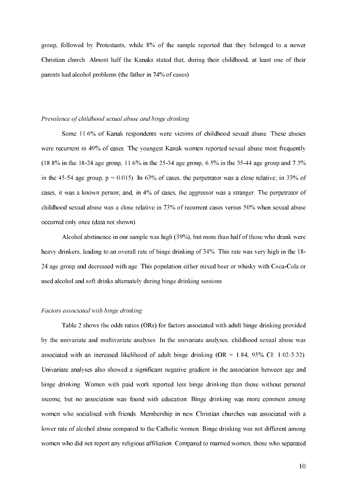group, followed by Protestants, while 8% of the sample reported that they belonged to a newer Christian church. Almost half the Kanaks stated that, during their childhood, at least one of their parents had alcohol problems (the father in 74% of cases).

## Prevalence of childhood sexual abuse and binge drinking

Some 11.6% of Kanak respondents were victims of childhood sexual abuse. These abuses were recurrent in 49% of cases. The youngest Kanak women reported sexual abuse most frequently  $(18.8\% \text{ in the } 18-24 \text{ age group}, 11.6\% \text{ in the } 25-34 \text{ age group}, 6.5\% \text{ in the } 35-44 \text{ age group and } 7.3\%$ in the 45-54 age group,  $p = 0.015$ ). In 63% of cases, the perpetrator was a close relative; in 33% of cases, it was a known person; and, in 4% of cases, the aggressor was a stranger. The perpetrator of childhood sexual abuse was a close relative in 73% of recurrent cases versus 50% when sexual abuse occurred only once (data not shown).

Alcohol abstinence in our sample was high (39%), but more than half of those who drank were heavy drinkers, leading to an overall rate of binge drinking of 34%. This rate was very high in the 18-24 age group and decreased with age. This population either mixed beer or whisky with Coca-Cola or used alcohol and soft drinks alternately during binge drinking sessions.

#### Factors associated with binge drinking

Table 2 shows the odds ratios (ORs) for factors associated with a dult binge drinking provided by the univariate and multivariate analyses. In the univariate analyses, childhood sexual abuse was associated with an increased likelihood of adult binge drinking  $(OR = 1.84, 95\% \text{ CI}$ : 1.02-3.32). Univariate analyses also showed a significant negative gradient in the association between age and binge drinking. Women with paid work reported less binge drinking than those without personal income, but no association was found with education. Binge drinking was more common among women who socialised with friends. Membership in new Christian churches was associated with a lower rate of alcohol abuse compared to the Catholic women. Binge drinking was not different among women who did not report any religious affiliation. Compared to married women, those who separated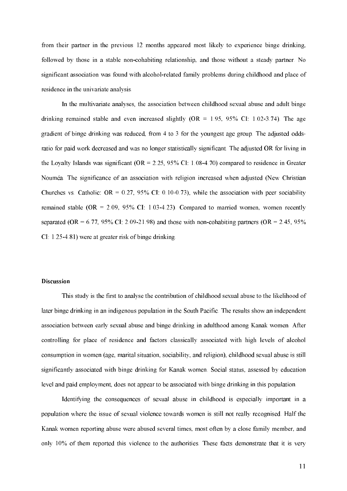from their partner in the previous 12 months appeared most likely to experience binge drinking, followed by those in a stable non-cohabiting relationship, and those without a steady partner. No significant association was found with alcohol-related family problems during childhood and place of residence in the univariate analysis.

In the multivariate analyses, the association between childhood sexual abuse and adult binge drinking remained stable and even increased slightly  $(OR = 1.95, 95\% \text{ CI}$ ; 1.02-3.74). The age gradient of binge drinking was reduced, from 4 to 3 for the youngest age group. The adjusted oddsratio for paid work decreased and was no longer statistically significant. The adjusted OR for living in the Lovalty Islands was significant ( $OR = 2.25$ , 95% CI: 1.08-4.70) compared to residence in Greater Nouméa. The significance of an association with religion increased when adjusted (New Christian Churches vs. Catholic:  $OR = 0.27$ , 95% CI: 0.10-0.73), while the association with peer sociability remained stable ( $OR = 2.09$ ,  $95\%$  CI: 1.03-4.23). Compared to married women, women recently separated (OR = 6.77, 95% CI: 2.09-21.98) and those with non-cohabiting partners (OR = 2.45, 95%  $CI: 1.25-4.81$  were at greater risk of binge drinking.

#### Discussion

This study is the first to analyse the contribution of childhood sexual abuse to the likelihood of later binge drinking in an indigenous population in the South Pacific. The results show an independent association between early sexual abuse and binge drinking in adulthood among Kanak women. After controlling for place of residence and factors classically associated with high levels of alcohol consumption in women (age, marital situation, sociability, and religion), childhood sexual abuse is still significantly associated with binge drinking for Kanak women. Social status, assessed by education level and paid employment, does not appear to be associated with binge drinking in this population.

Identifying the consequences of sexual abuse in childhood is especially important in a population where the issue of sexual violence towards women is still not really recognised. Half the Kanak women reporting abuse were abused several times, most often by a close family member, and only 10% of them reported this violence to the authorities. These facts demonstrate that it is very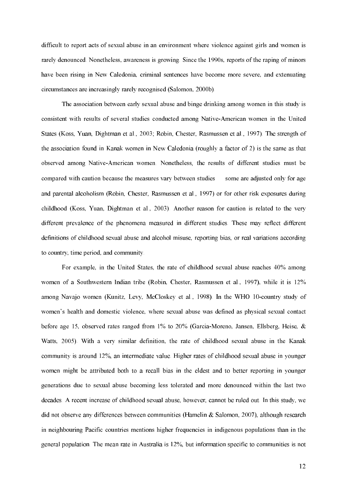difficult to report acts of sexual abuse in an environment where violence against girls and women is rarely denounced. Nonetheless, awareness is growing. Since the 1990s, reports of the raping of minors have been rising in New Caledonia, criminal sentences have become more severe, and extenuating circumstances are increasingly rarely recognised (Salomon, 2000b).

The association between early sexual abuse and binge drinking among women in this study is consistent with results of several studies conducted among Native-American women in the United States (Koss, Yuan, Dightman et al., 2003; Robin, Chester, Rasmussen et al., 1997). The strength of the association found in Kanak women in New Caledonia (roughly a factor of 2) is the same as that observed among Native-American women. Nonetheless, the results of different studies must be compared with caution because the measures vary between studies - some are adjusted only for age and parental alcoholism (Robin, Chester, Rasmussen et al., 1997) or for other risk exposures during childhood (Koss, Yuan, Dightman et al., 2003). Another reason for caution is related to the very different prevalence of the phenomena measured in different studies. These may reflect different definitions of childhood sexual abuse and alcohol misuse, reporting bias, or real variations according to country, time period, and community.

For example, in the United States, the rate of childhood sexual abuse reaches 40% among women of a Southwestern Indian tribe (Robin, Chester, Rasmussen et al., 1997), while it is 12% among Navajo women (Kunitz, Levy, McCloskey et al., 1998). In the WHO 10-country study of women's health and domestic violence, where sexual abuse was defined as physical sexual contact before age 15, observed rates ranged from 1% to 20% (Garcia-Moreno, Jansen, Ellsberg, Heise, & Watts, 2005). With a very similar definition, the rate of childhood sexual abuse in the Kanak community is around 12%, an intermediate value. Higher rates of childhood sexual abuse in younger women might be attributed both to a recall bias in the eldest and to better reporting in younger generations due to sexual abuse becoming less tolerated and more denounced within the last two decades. A recent increase of childhood sexual abuse, however, cannot be ruled out. In this study, we did not observe any differences between communities (Hamelin & Salomon, 2007), although research in neighbouring Pacific countries mentions higher frequencies in indigenous populations than in the general population. The mean rate in Australia is 12%, but information specific to communities is not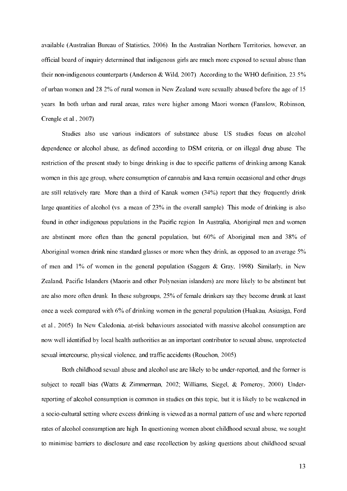available (Australian Bureau of Statistics, 2006). In the Australian Northern Territories, however, an official board of inquiry determined that indigenous girls are much more exposed to sexual abuse than their non-indigenous counterparts (Anderson & Wild, 2007). According to the WHO definition, 23.5% of urban women and 28.2% of rural women in New Zealand were sexually abused before the age of 15 years. In both urban and rural areas, rates were higher among Maori women (Fanslow, Robinson, Crengle et al., 2007).

Studies also use various indicators of substance abuse. US studies focus on alcohol dependence or alcohol abuse, as defined according to DSM criteria, or on illegal drug abuse. The restriction of the present study to binge drinking is due to specific patterns of drinking among Kanak women in this age group, where consumption of cannabis and kava remain occasional and other drugs are still relatively rare. More than a third of Kanak women (34%) report that they frequently drink large quantities of alcohol (vs. a mean of 23% in the overall sample). This mode of drinking is also found in other indigenous populations in the Pacific region. In Australia, Aboriginal men and women are abstinent more often than the general population, but 60% of Aboriginal men and 38% of Aboriginal women drink nine standard glasses or more when they drink, as opposed to an average 5% of men and 1% of women in the general population (Saggers & Gray, 1998). Similarly, in New Zealand, Pacific Islanders (Maoris and other Polynesian islanders) are more likely to be abstinent but are also more often drunk. In these subgroups, 25% of female drinkers say they become drunk at least once a week compared with 6% of drinking women in the general population (Huakau, Asiasiga, Ford et al., 2005). In New Caledonia, at-risk behaviours associated with massive alcohol consumption are now well identified by local health authorities as an important contributor to sexual abuse, unprotected sexual intercourse, physical violence, and traffic accidents (Rouchon, 2005).

Both childhood sexual abuse and alcohol use are likely to be under-reported, and the former is subject to recall bias (Watts & Zimmerman, 2002; Williams, Siegel, & Pomeroy, 2000). Underreporting of alcohol consumption is common in studies on this topic, but it is likely to be weakened in a socio-cultural setting where excess drinking is viewed as a normal pattern of use and where reported rates of alcohol consumption are high. In questioning women about childhood sexual abuse, we sought to minimise barriers to disclosure and ease recollection by asking questions about childhood sexual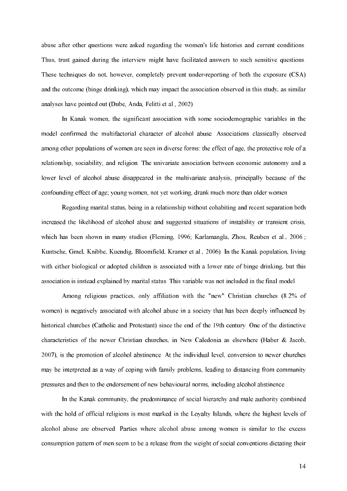abuse after other questions were asked regarding the women's life histories and current conditions. Thus, trust gained during the interview might have facilitated answers to such sensitive questions. These techniques do not, however, completely prevent under-reporting of both the exposure (CSA) and the outcome (binge drinking), which may impact the association observed in this study, as similar analyses have pointed out (Dube, Anda, Felitti et al., 2002).

In Kanak women, the significant association with some sociodemographic variables in the model confirmed the multifactorial character of alcohol abuse. Associations classically observed among other populations of women are seen in diverse forms: the effect of age, the protective role of a relationship, sociability, and religion. The univariate association between economic autonomy and a lower level of alcohol abuse disappeared in the multivariate analysis, principally because of the confounding effect of age; young women, not yet working, drank much more than older women.

Regarding marital status, being in a relationship without cohabiting and recent separation both increased the likelihood of alcohol abuse and suggested situations of instability or transient crisis, which has been shown in many studies (Fleming, 1996; Karlamangla, Zhou, Reuben et al., 2006; Kuntsche, Gmel, Knibbe, Kuendig, Bloomfield, Kramer et al., 2006). In the Kanak population, living with either biological or adopted children is associated with a lower rate of binge drinking, but this association is instead explained by marital status. This variable was not included in the final model.

Among religious practices, only affiliation with the "new" Christian churches (8.2% of women) is negatively associated with alcohol abuse in a society that has been deeply influenced by historical churches (Catholic and Protestant) since the end of the 19th century. One of the distinctive characteristics of the newer Christian churches, in New Caledonia as elsewhere (Haber & Jacob, 2007), is the promotion of alcohol abstinence. At the individual level, conversion to newer churches may be interpreted as a way of coping with family problems, leading to distancing from community pressures and then to the endorsement of new behavioural norms, including alcohol abstinence.

In the Kanak community, the predominance of social hierarchy and male authority combined with the hold of official religions is most marked in the Lovalty Islands, where the highest levels of alcohol abuse are observed. Parties where alcohol abuse among women is similar to the excess consumption pattern of men seem to be a release from the weight of social conventions dictating their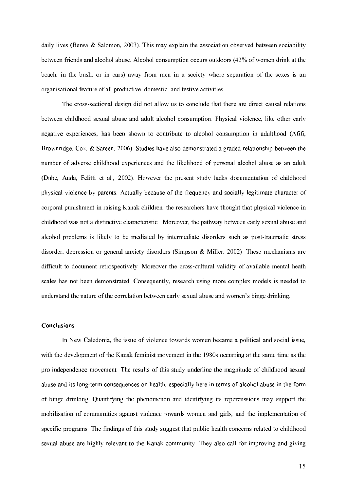daily lives (Bensa & Salomon, 2003). This may explain the association observed between sociability between friends and alcohol abuse. Alcohol consumption occurs outdoors (42% of women drink at the beach, in the bush, or in cars) away from men in a society where separation of the sexes is an organisational feature of all productive, domestic, and festive activities.

The cross-sectional design did not allow us to conclude that there are direct causal relations between childhood sexual abuse and adult alcohol consumption. Physical violence, like other early negative experiences, has been shown to contribute to alcohol consumption in adulthood (Afifi, Brownridge, Cox, & Sareen, 2006). Studies have also demonstrated a graded relationship between the number of adverse childhood experiences and the likelihood of personal alcohol abuse as an adult (Dube, Anda, Felitti et al., 2002). However the present study lacks documentation of childhood physical violence by parents. Actually because of the frequency and socially legitimate character of corporal punishment in raising Kanak children, the researchers have thought that physical violence in childhood was not a distinctive characteristic. Moreover, the pathway between early sexual abuse and alcohol problems is likely to be mediated by intermediate disorders such as post-traumatic stress disorder, depression or general anxiety disorders (Simpson & Miller, 2002). These mechanisms are difficult to document retrospectively. Moreover the cross-cultural validity of available mental heath scales has not been demonstrated. Consequently, research using more complex models is needed to understand the nature of the correlation between early sexual abuse and women's binge drinking.

#### Conclusions

In New Caledonia, the issue of violence towards women became a political and social issue, with the development of the Kanak feminist movement in the 1980s occurring at the same time as the pro-independence movement. The results of this study underline the magnitude of childhood sexual abuse and its long-term consequences on health, especially here in terms of alcohol abuse in the form of binge drinking. Quantifying the phenomenon and identifying its repercussions may support the mobilisation of communities against violence towards women and girls, and the implementation of specific programs. The findings of this study suggest that public health concerns related to childhood sexual abuse are highly relevant to the Kanak community. They also call for improving and giving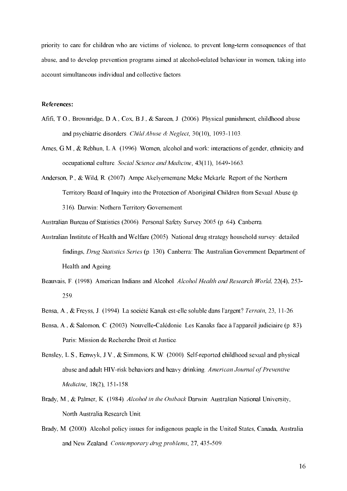priority to care for children who are victims of violence, to prevent long-term consequences of that abuse, and to develop prevention programs aimed at alcohol-related behaviour in women, taking into account simultaneous individual and collective factors.

#### **References:**

- Afifi, T.O., Brownridge, D.A., Cox, B.J., & Sareen, J. (2006). Physical punishment, childhood abuse and psychiatric disorders. Child Abuse & Neglect, 30(10), 1093-1103.
- Ames, G.M., & Rebhun, L.A. (1996). Women, alcohol and work: interactions of gender, ethnicity and occupational culture. Social Science and Medicine, 43(11), 1649-1663.
- Anderson, P., & Wild, R. (2007). Ampe Akelyernemane Meke Mekarle. Report of the Northern Territory Board of Inquiry into the Protection of Aboriginal Children from Sexual Abuse (p. 316). Darwin: Nothern Territory Governement.
- Australian Bureau of Statistics (2006). Personal Safety Survey 2005 (p. 64). Canberra.
- Australian Institute of Health and Welfare (2005). National drug strategy household survey: detailed findings, Drug Statistics Series (p. 130). Canberra: The Australian Government Department of Health and Ageing.
- Beauvais, F. (1998). American Indians and Alcohol. Alcohol Health and Research World, 22(4), 253-259.
- Bensa, A., & Frevss, J. (1994). La société Kanak est-elle soluble dans l'argent? Terrain, 23, 11-26.
- Bensa, A., & Salomon, C. (2003). Nouvelle-Calédonie. Les Kanaks face à l'appareil judiciaire (p. 83). Paris: Mission de Recherche Droit et Justice.
- Bensley, L.S., Eenwyk, J.V., & Simmons, K.W. (2000). Self-reported childhood sexual and physical abuse and adult HIV-risk behaviors and heavy drinking. American Journal of Preventive *Medicine*, 18(2), 151-158.
- Brady, M., & Palmer, K. (1984). Alcohol in the Outback Darwin: Australian National University, North Australia Research Unit.
- Brady, M. (2000). Alcohol policy issues for indigenous peaple in the United States, Canada, Australia and New Zealand. Contemporary drug problems, 27, 435-509.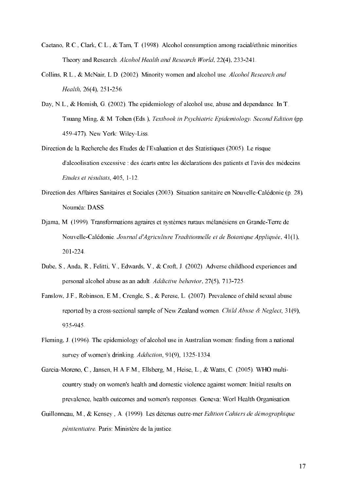- Caetano, R.C., Clark, C.L., & Tam, T. (1998). Alcohol consumption among racial/ethnic minorities. Theory and Research. Alcohol Health and Research World, 22(4), 233-241.
- Collins, R.L., & McNair, L.D. (2002). Minority women and alcohol use Alcohol Research and Health, 26(4), 251-256.
- Day, N.L., & Homish, G. (2002). The epidemiology of alcohol use, abuse and dependance. In T. Tsuang Ming, & M. Tohen (Eds.), Textbook in Psychiatric Epidemiology. Second Edition (pp. 459-477). New York: Wiley-Liss.
- Direction de la Recherche des Etudes de l'Evaluation et des Statistiques (2005). Le risque d'alcoolisation excessive : des écarts entre les déclarations des patients et l'avis des médecins. Etudes et résultats, 405, 1-12.
- Direction des Affaires Sanitaires et Sociales (2003). Situation sanitaire en Nouvelle-Calédonie (p. 28). Nouméa: DASS.
- Djama, M. (1999). Transformations agraires et systèmes ruraux mélanésiens en Grande-Terre de Nouvelle-Calédonie. Journal d'Agriculture Traditionnelle et de Botanique Appliquée, 41(1), 201-224.
- Dube, S., Anda, R., Felitti, V., Edwards, V., & Croft, J. (2002). Adverse childhood experiences and personal alcohol abuse as an adult. Addictive behavior, 27(5), 713-725.
- Fanslow, J.F., Robinson, E.M., Crengle, S., & Perese, L. (2007). Prevalence of child sexual abuse reported by a cross-sectional sample of New Zealand women, Child Abuse & Neglect, 31(9), 935-945.
- Fleming, J. (1996). The epidemiology of alcohol use in Australian women: finding from a national survey of women's drinking, *Addiction*, 91(9), 1325-1334.
- Garcia-Moreno, C., Jansen, H.A.F.M., Ellsberg, M., Heise, L., & Watts, C. (2005). WHO multicountry study on women's health and domestic violence against women. Initial results on prevalence, health outcomes and women's responses. Geneva: Worl Health Organisation.
- Guillonneau, M., & Kensey, A. (1999). Les détenus outre-mer Edition Cahiers de démographique *pénitentiaire*. Paris: Ministère de la justice.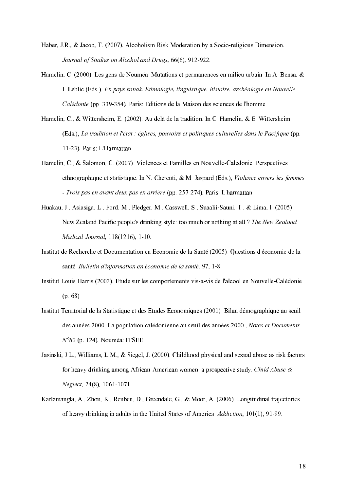- Haber, J.R., & Jacob, T. (2007). Alcoholism Risk Moderation by a Socio-religious Dimension. Journal of Studies on Alcohol and Drugs, 66(6), 912-922.
- Hamelin, C. (2000). Les gens de Nouméa. Mutations et permanences en milieu urbain. In A. Bensa,  $\&$ I. Leblic (Eds.), En pays kanak. Ethnologie, linguistique, histoire, archéologie en Nouvelle-Calédonie (pp. 339-354). Paris: Editions de la Maison des sciences de l'homme.
- Hamelin, C., & Wittersheim, E. (2002). Au delà de la tradition. In C. Hamelin, & E. Wittersheim (Eds.), La tradition et l'état : églises, pouvoirs et politiques culturelles dans le Pacifique (pp. 11-23). Paris: L'Harmattan.
- Hamelin, C., & Salomon, C. (2007). Violences et Familles en Nouvelle-Calédonie. Perspectives ethnographique et statistique. In N. Chetcuti, & M. Jaspard (Eds.), Violence envers les femmes - Trois pas en avant deux pas en arrière (pp. 257-274). Paris: L'harmattan.
- Huakau, J., Asiasiga, L., Ford, M., Pledger, M., Casswell, S., Suaalii-Sauni, T., & Lima, I. (2005). New Zealand Pacific people's drinking style: too much or nothing at all? The New Zealand Medical Journal, 118(1216), 1-10.
- Institut de Recherche et Documentation en Economie de la Santé (2005). Questions d'économie de la santé. Bulletin d'information en économie de la santé, 97, 1-8.
- Institut Louis Harris (2003). Etude sur les comportements vis-à-vis de l'alcool en Nouvelle-Calédonie  $(p. 68)$ .
- Institut Territorial de la Statistique et des Etudes Economiques (2001). Bilan démographique au seuil des années 2000. La population calédonienne au seuil des années 2000., Notes et Documents  $N^{\circ}82$  (p. 124). Nouméa: ITSEE.
- Jasinski, J.L., Williams, L.M., & Siegel, J. (2000). Childhood physical and sexual abuse as risk factors for heavy drinking among African-American women: a prospective study. Child Abuse  $\&$ *Neglect*, 24(8), 1061-1071.
- Karlamangla, A., Zhou, K., Reuben, D., Greendale, G., & Moor, A. (2006). Longitudinal trajectories of heavy drinking in adults in the United States of America. *Addiction*, 101(1), 91-99.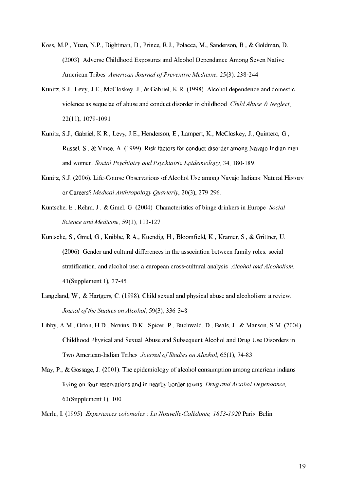- Koss, M.P., Yuan, N.P., Dightman, D., Prince, R.J., Polacca, M., Sanderson, B., & Goldman, D. (2003). Adverse Childhood Exposures and Alcohol Dependance Among Seven Native American Tribes. American Journal of Preventive Medicine, 25(3), 238-244.
- Kunitz, S.J., Levy, J.E., McCloskey, J., & Gabriel, K.R. (1998). Alcohol dependence and domestic violence as sequelae of abuse and conduct disorder in childhood. Child Abuse & Neglect, 22(11), 1079-1091.
- Kunitz, S.J., Gabriel, K.R., Levy, J.E., Henderson, E., Lampert, K., McCloskey, J., Quintero, G., Russel, S., & Vince, A. (1999). Risk factors for conduct disorder among Navajo Indian men and women. Social Psychiatry and Psychiatric Epidemiology, 34, 180-189.
- Kunitz, S.J. (2006). Life-Course Observations of Alcohol Use among Navajo Indians: Natural History or Careers? Medical Anthropology Ouarterly, 20(3), 279-296.
- Kuntsche, E., Rehm, J., & Gmel, G. (2004). Characteristics of binge drinkers in Europe. Social Science and Medicine, 59(1), 113-127.
- Kuntsche, S., Gmel, G., Knibbe, R.A., Kuendig, H., Bloomfield, K., Kramer, S., & Grittner, U. (2006). Gender and cultural differences in the association between family roles, social stratification, and alcohol use: a european cross-cultural analysis. Alcohol and Alcoholism,  $41(Supplement 1), 37-45.$
- Langeland, W., & Hartgers, C. (1998). Child sexual and physical abuse and alcoholism: a review. Jounal of the Studies on Alcohol, 59(3), 336-348.
- Libby, A.M., Orton, H.D., Novins, D.K., Spicer, P., Buchwald, D., Beals, J., & Manson, S.M. (2004). Childhood Physical and Sexual Abuse and Subsequent Alcohol and Drug Use Disorders in Two American-Indian Tribes. Journal of Studies on Alcohol, 65(1), 74-83.
- May, P., & Gossage, J. (2001). The epidemiology of alcohol consumption among american indians living on four reservations and in nearby border towns. Drug and Alcohol Dependance,  $63(Supplement 1)$ , 100.
- Merle, I. (1995). Experiences coloniales : La Nouvelle-Calédonie, 1853-1920 Paris: Belin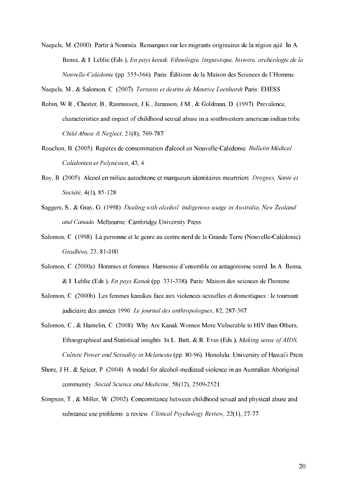Naepels, M. (2000). Partir à Nouméa. Remarques sur les migrants originaires de la région ajië. In A. Bensa, & I. Leblic (Eds.), En pays kanak. Ethnologie, linguistique, histoire, archéologie de la *Nouvelle-Calédonie* (pp. 355-366). Paris: Éditions de la Maison des Sciences de l'Homme.

Naepels, M., & Salomon, C. (2007). Terrains et destins de Maurice Leenhardt Paris: EHESS.

- Robin, W.R., Chester, B., Rasmussen, J.K., Jaranson, J.M., & Goldman, D. (1997). Prevalence, characteristics and impact of childhood seuxal abuse in a southwestern american indian tribe. Child Abuse & Neglect, 21(8), 769-787.
- Rouchon, B. (2005). Repères de consommation d'alcool en Nouvelle-Calédonie. Bulletin Médical Calédonien et Polynésien, 43, 4.
- Roy, B. (2005). Alcool en milieu autochtone et marqueurs identitaires meurtriers. Drogues, Santé et Société, 4(1), 85-128.
- Saggers, S., & Gray, G. (1998). Dealing with alcohol: indigenous usage in Australia, New Zealand and Canada. Melbourne: Cambridge University Press.
- Salomon, C. (1998). La personne et le genre au centre nord de la Grande Terre (Nouvelle-Calédonie). Gradhiva, 23, 81-100.
- Salomon, C. (2000a). Hommes et femmes. Harmonie d'ensemble ou antagonisme sourd. In A. Bensa, & I. Leblic (Eds.), *En pays Kanak* (pp. 331-338). Paris: Maison des sciences de l'homme.
- Salomon, C. (2000b). Les femmes kanakes face aux violences sexuelles et domestiques : le tournant judiciaire des années 1990. Le journal des anthropologues, 82, 287-307.
- Salomon, C., & Hamelin, C. (2008). Why Are Kanak Women More Vulnerable to HIV than Others, Ethnographical and Statistical insights. In L. Butt,  $\&$  R. Eves (Eds.), Making sense of AIDS. Culture Power and Sexuality in Melanesia (pp. 80-96). Honolulu: University of Hawai'i Press.
- Shore, J.H., & Spicer, P. (2004). A model for alcohol-mediated violence in an Australian Aboriginal community. Social Science and Medicine, 58(12), 2509-2521.
- Simpson,  $T_x \& Miller, W_{12002}$ . Concomitance between childhood sexual and physical abuse and substance use problems: a review. Clinical Psychology Review, 22(1), 27-77.